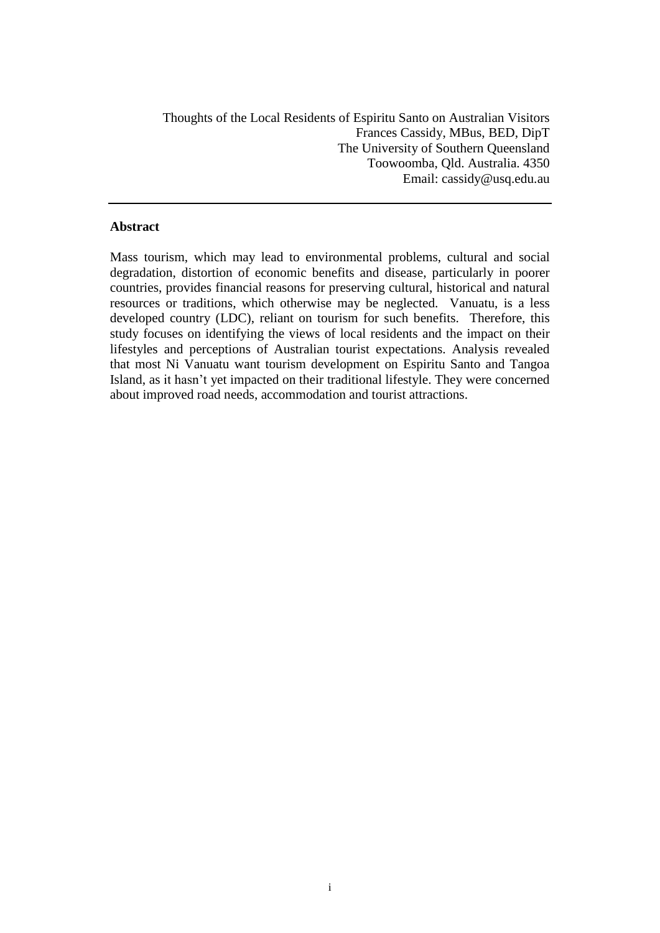Thoughts of the Local Residents of Espiritu Santo on Australian Visitors Frances Cassidy, MBus, BED, DipT The University of Southern Queensland Toowoomba, Qld. Australia. 4350 Email: cassidy@usq.edu.au

### **Abstract**

Mass tourism, which may lead to environmental problems, cultural and social degradation, distortion of economic benefits and disease, particularly in poorer countries, provides financial reasons for preserving cultural, historical and natural resources or traditions, which otherwise may be neglected. Vanuatu, is a less developed country (LDC), reliant on tourism for such benefits. Therefore, this study focuses on identifying the views of local residents and the impact on their lifestyles and perceptions of Australian tourist expectations. Analysis revealed that most Ni Vanuatu want tourism development on Espiritu Santo and Tangoa Island, as it hasn"t yet impacted on their traditional lifestyle. They were concerned about improved road needs, accommodation and tourist attractions.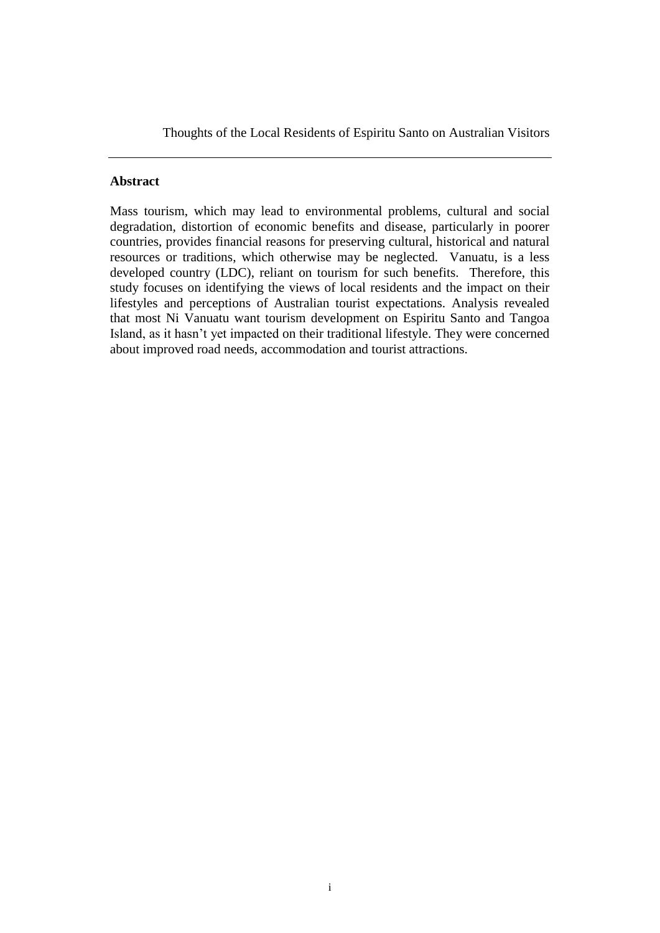Thoughts of the Local Residents of Espiritu Santo on Australian Visitors

### **Abstract**

Mass tourism, which may lead to environmental problems, cultural and social degradation, distortion of economic benefits and disease, particularly in poorer countries, provides financial reasons for preserving cultural, historical and natural resources or traditions, which otherwise may be neglected. Vanuatu, is a less developed country (LDC), reliant on tourism for such benefits. Therefore, this study focuses on identifying the views of local residents and the impact on their lifestyles and perceptions of Australian tourist expectations. Analysis revealed that most Ni Vanuatu want tourism development on Espiritu Santo and Tangoa Island, as it hasn"t yet impacted on their traditional lifestyle. They were concerned about improved road needs, accommodation and tourist attractions.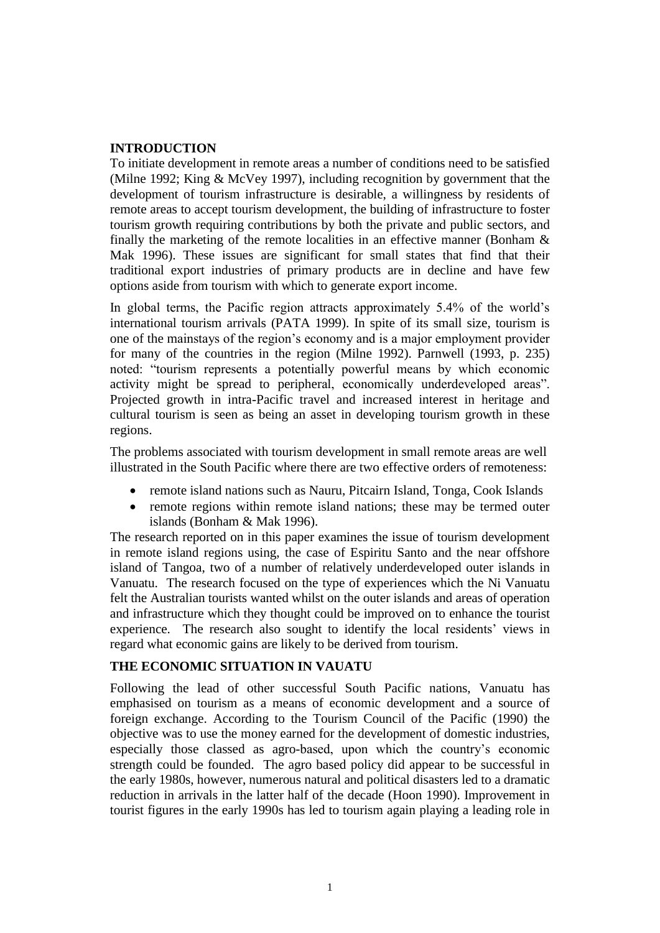## **INTRODUCTION**

To initiate development in remote areas a number of conditions need to be satisfied (Milne 1992; King & McVey 1997), including recognition by government that the development of tourism infrastructure is desirable, a willingness by residents of remote areas to accept tourism development, the building of infrastructure to foster tourism growth requiring contributions by both the private and public sectors, and finally the marketing of the remote localities in an effective manner (Bonham & Mak 1996). These issues are significant for small states that find that their traditional export industries of primary products are in decline and have few options aside from tourism with which to generate export income.

In global terms, the Pacific region attracts approximately 5.4% of the world"s international tourism arrivals (PATA 1999). In spite of its small size, tourism is one of the mainstays of the region"s economy and is a major employment provider for many of the countries in the region (Milne 1992). Parnwell (1993, p. 235) noted: "tourism represents a potentially powerful means by which economic activity might be spread to peripheral, economically underdeveloped areas". Projected growth in intra-Pacific travel and increased interest in heritage and cultural tourism is seen as being an asset in developing tourism growth in these regions.

The problems associated with tourism development in small remote areas are well illustrated in the South Pacific where there are two effective orders of remoteness:

- remote island nations such as Nauru, Pitcairn Island, Tonga, Cook Islands
- remote regions within remote island nations; these may be termed outer islands (Bonham & Mak 1996).

The research reported on in this paper examines the issue of tourism development in remote island regions using, the case of Espiritu Santo and the near offshore island of Tangoa, two of a number of relatively underdeveloped outer islands in Vanuatu. The research focused on the type of experiences which the Ni Vanuatu felt the Australian tourists wanted whilst on the outer islands and areas of operation and infrastructure which they thought could be improved on to enhance the tourist experience. The research also sought to identify the local residents' views in regard what economic gains are likely to be derived from tourism.

# **THE ECONOMIC SITUATION IN VAUATU**

Following the lead of other successful South Pacific nations, Vanuatu has emphasised on tourism as a means of economic development and a source of foreign exchange. According to the Tourism Council of the Pacific (1990) the objective was to use the money earned for the development of domestic industries, especially those classed as agro-based, upon which the country"s economic strength could be founded. The agro based policy did appear to be successful in the early 1980s, however, numerous natural and political disasters led to a dramatic reduction in arrivals in the latter half of the decade (Hoon 1990). Improvement in tourist figures in the early 1990s has led to tourism again playing a leading role in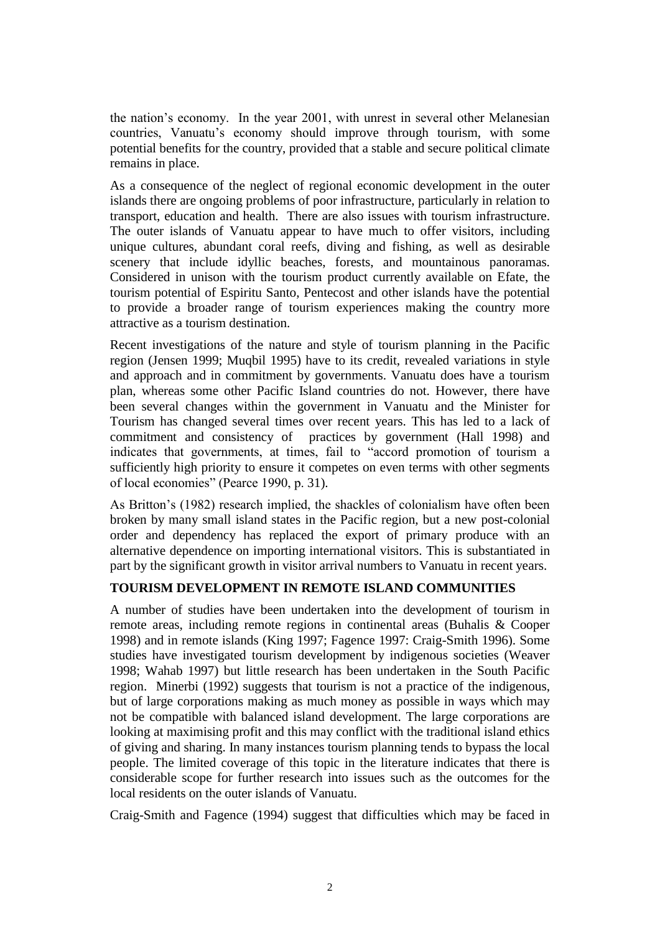the nation"s economy. In the year 2001, with unrest in several other Melanesian countries, Vanuatu"s economy should improve through tourism, with some potential benefits for the country, provided that a stable and secure political climate remains in place.

As a consequence of the neglect of regional economic development in the outer islands there are ongoing problems of poor infrastructure, particularly in relation to transport, education and health. There are also issues with tourism infrastructure. The outer islands of Vanuatu appear to have much to offer visitors, including unique cultures, abundant coral reefs, diving and fishing, as well as desirable scenery that include idyllic beaches, forests, and mountainous panoramas. Considered in unison with the tourism product currently available on Efate, the tourism potential of Espiritu Santo, Pentecost and other islands have the potential to provide a broader range of tourism experiences making the country more attractive as a tourism destination.

Recent investigations of the nature and style of tourism planning in the Pacific region (Jensen 1999; Muqbil 1995) have to its credit, revealed variations in style and approach and in commitment by governments. Vanuatu does have a tourism plan, whereas some other Pacific Island countries do not. However, there have been several changes within the government in Vanuatu and the Minister for Tourism has changed several times over recent years. This has led to a lack of commitment and consistency of practices by government (Hall 1998) and indicates that governments, at times, fail to "accord promotion of tourism a sufficiently high priority to ensure it competes on even terms with other segments of local economies" (Pearce 1990, p. 31).

As Britton"s (1982) research implied, the shackles of colonialism have often been broken by many small island states in the Pacific region, but a new post-colonial order and dependency has replaced the export of primary produce with an alternative dependence on importing international visitors. This is substantiated in part by the significant growth in visitor arrival numbers to Vanuatu in recent years.

## **TOURISM DEVELOPMENT IN REMOTE ISLAND COMMUNITIES**

A number of studies have been undertaken into the development of tourism in remote areas, including remote regions in continental areas (Buhalis & Cooper 1998) and in remote islands (King 1997; Fagence 1997: Craig-Smith 1996). Some studies have investigated tourism development by indigenous societies (Weaver 1998; Wahab 1997) but little research has been undertaken in the South Pacific region. Minerbi (1992) suggests that tourism is not a practice of the indigenous, but of large corporations making as much money as possible in ways which may not be compatible with balanced island development. The large corporations are looking at maximising profit and this may conflict with the traditional island ethics of giving and sharing. In many instances tourism planning tends to bypass the local people. The limited coverage of this topic in the literature indicates that there is considerable scope for further research into issues such as the outcomes for the local residents on the outer islands of Vanuatu.

Craig-Smith and Fagence (1994) suggest that difficulties which may be faced in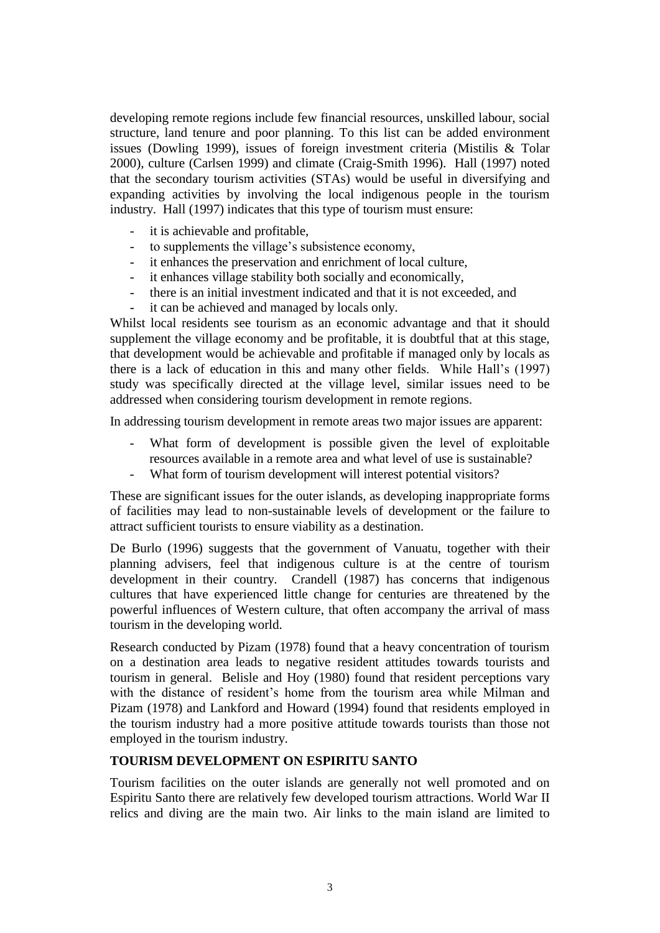developing remote regions include few financial resources, unskilled labour, social structure, land tenure and poor planning. To this list can be added environment issues (Dowling 1999), issues of foreign investment criteria (Mistilis & Tolar 2000), culture (Carlsen 1999) and climate (Craig-Smith 1996). Hall (1997) noted that the secondary tourism activities (STAs) would be useful in diversifying and expanding activities by involving the local indigenous people in the tourism industry. Hall (1997) indicates that this type of tourism must ensure:

- it is achievable and profitable,
- to supplements the village's subsistence economy,
- it enhances the preservation and enrichment of local culture.
- it enhances village stability both socially and economically,
- there is an initial investment indicated and that it is not exceeded, and
- it can be achieved and managed by locals only.

Whilst local residents see tourism as an economic advantage and that it should supplement the village economy and be profitable, it is doubtful that at this stage, that development would be achievable and profitable if managed only by locals as there is a lack of education in this and many other fields. While Hall"s (1997) study was specifically directed at the village level, similar issues need to be addressed when considering tourism development in remote regions.

In addressing tourism development in remote areas two major issues are apparent:

- What form of development is possible given the level of exploitable resources available in a remote area and what level of use is sustainable?
- What form of tourism development will interest potential visitors?

These are significant issues for the outer islands, as developing inappropriate forms of facilities may lead to non-sustainable levels of development or the failure to attract sufficient tourists to ensure viability as a destination.

De Burlo (1996) suggests that the government of Vanuatu, together with their planning advisers, feel that indigenous culture is at the centre of tourism development in their country. Crandell (1987) has concerns that indigenous cultures that have experienced little change for centuries are threatened by the powerful influences of Western culture, that often accompany the arrival of mass tourism in the developing world.

Research conducted by Pizam (1978) found that a heavy concentration of tourism on a destination area leads to negative resident attitudes towards tourists and tourism in general. Belisle and Hoy (1980) found that resident perceptions vary with the distance of resident's home from the tourism area while Milman and Pizam (1978) and Lankford and Howard (1994) found that residents employed in the tourism industry had a more positive attitude towards tourists than those not employed in the tourism industry.

# **TOURISM DEVELOPMENT ON ESPIRITU SANTO**

Tourism facilities on the outer islands are generally not well promoted and on Espiritu Santo there are relatively few developed tourism attractions. World War II relics and diving are the main two. Air links to the main island are limited to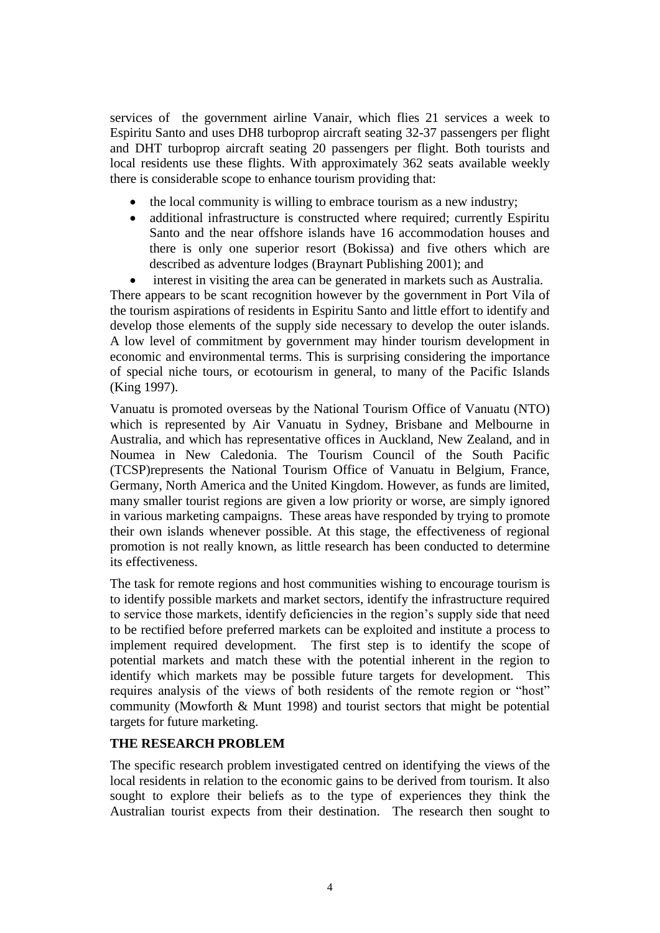services of the government airline Vanair, which flies 21 services a week to Espiritu Santo and uses DH8 turboprop aircraft seating 32-37 passengers per flight and DHT turboprop aircraft seating 20 passengers per flight. Both tourists and local residents use these flights. With approximately 362 seats available weekly there is considerable scope to enhance tourism providing that:

- the local community is willing to embrace tourism as a new industry;
- additional infrastructure is constructed where required; currently Espiritu Santo and the near offshore islands have 16 accommodation houses and there is only one superior resort (Bokissa) and five others which are described as adventure lodges (Braynart Publishing 2001); and
- interest in visiting the area can be generated in markets such as Australia.

There appears to be scant recognition however by the government in Port Vila of the tourism aspirations of residents in Espiritu Santo and little effort to identify and develop those elements of the supply side necessary to develop the outer islands. A low level of commitment by government may hinder tourism development in economic and environmental terms. This is surprising considering the importance of special niche tours, or ecotourism in general, to many of the Pacific Islands (King 1997).

Vanuatu is promoted overseas by the National Tourism Office of Vanuatu (NTO) which is represented by Air Vanuatu in Sydney, Brisbane and Melbourne in Australia, and which has representative offices in Auckland, New Zealand, and in Noumea in New Caledonia. The Tourism Council of the South Pacific (TCSP)represents the National Tourism Office of Vanuatu in Belgium, France, Germany, North America and the United Kingdom. However, as funds are limited, many smaller tourist regions are given a low priority or worse, are simply ignored in various marketing campaigns. These areas have responded by trying to promote their own islands whenever possible. At this stage, the effectiveness of regional promotion is not really known, as little research has been conducted to determine its effectiveness.

The task for remote regions and host communities wishing to encourage tourism is to identify possible markets and market sectors, identify the infrastructure required to service those markets, identify deficiencies in the region"s supply side that need to be rectified before preferred markets can be exploited and institute a process to implement required development. The first step is to identify the scope of potential markets and match these with the potential inherent in the region to identify which markets may be possible future targets for development. This requires analysis of the views of both residents of the remote region or "host" community (Mowforth & Munt 1998) and tourist sectors that might be potential targets for future marketing.

# **THE RESEARCH PROBLEM**

The specific research problem investigated centred on identifying the views of the local residents in relation to the economic gains to be derived from tourism. It also sought to explore their beliefs as to the type of experiences they think the Australian tourist expects from their destination. The research then sought to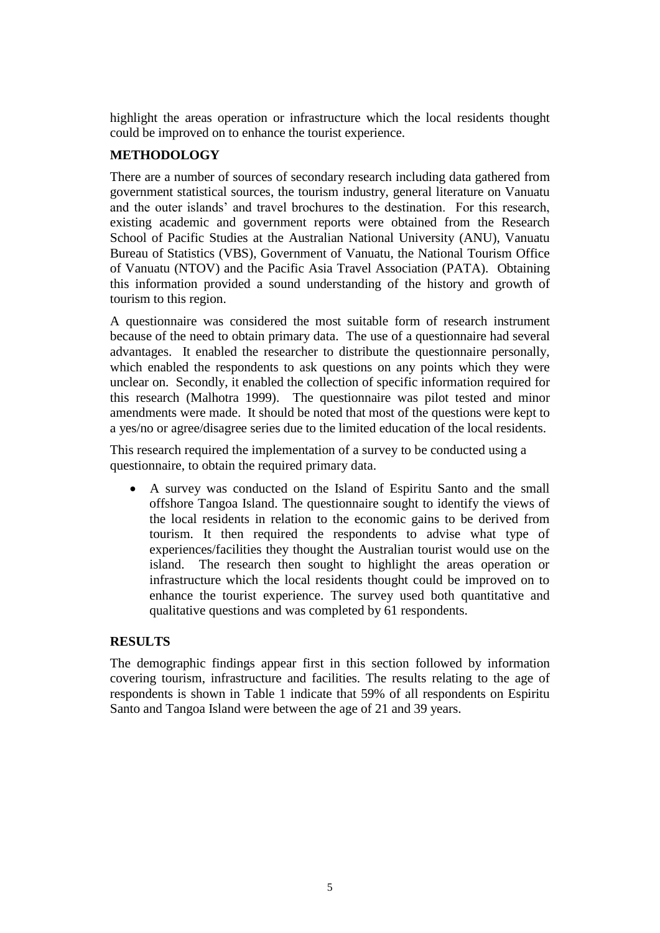highlight the areas operation or infrastructure which the local residents thought could be improved on to enhance the tourist experience.

# **METHODOLOGY**

There are a number of sources of secondary research including data gathered from government statistical sources, the tourism industry, general literature on Vanuatu and the outer islands" and travel brochures to the destination. For this research, existing academic and government reports were obtained from the Research School of Pacific Studies at the Australian National University (ANU), Vanuatu Bureau of Statistics (VBS), Government of Vanuatu, the National Tourism Office of Vanuatu (NTOV) and the Pacific Asia Travel Association (PATA). Obtaining this information provided a sound understanding of the history and growth of tourism to this region.

A questionnaire was considered the most suitable form of research instrument because of the need to obtain primary data. The use of a questionnaire had several advantages. It enabled the researcher to distribute the questionnaire personally, which enabled the respondents to ask questions on any points which they were unclear on. Secondly, it enabled the collection of specific information required for this research (Malhotra 1999). The questionnaire was pilot tested and minor amendments were made. It should be noted that most of the questions were kept to a yes/no or agree/disagree series due to the limited education of the local residents.

This research required the implementation of a survey to be conducted using a questionnaire, to obtain the required primary data.

 A survey was conducted on the Island of Espiritu Santo and the small offshore Tangoa Island. The questionnaire sought to identify the views of the local residents in relation to the economic gains to be derived from tourism. It then required the respondents to advise what type of experiences/facilities they thought the Australian tourist would use on the island. The research then sought to highlight the areas operation or infrastructure which the local residents thought could be improved on to enhance the tourist experience. The survey used both quantitative and qualitative questions and was completed by 61 respondents.

# **RESULTS**

The demographic findings appear first in this section followed by information covering tourism, infrastructure and facilities. The results relating to the age of respondents is shown in Table 1 indicate that 59% of all respondents on Espiritu Santo and Tangoa Island were between the age of 21 and 39 years.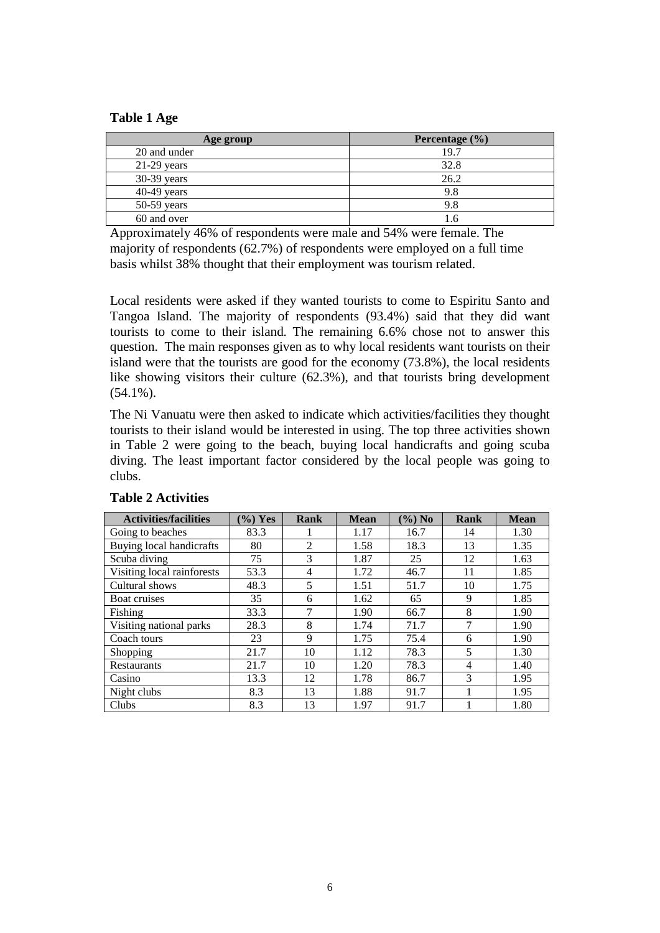### **Table 1 Age**

| Age group     | Percentage $(\% )$ |
|---------------|--------------------|
| 20 and under  | 19.7               |
| $21-29$ years | 32.8               |
| $30-39$ years | 26.2               |
| $40-49$ years | 9.8                |
| $50-59$ years | 9.8                |
| 60 and over   |                    |

Approximately 46% of respondents were male and 54% were female. The majority of respondents (62.7%) of respondents were employed on a full time basis whilst 38% thought that their employment was tourism related.

Local residents were asked if they wanted tourists to come to Espiritu Santo and Tangoa Island. The majority of respondents (93.4%) said that they did want tourists to come to their island. The remaining 6.6% chose not to answer this question. The main responses given as to why local residents want tourists on their island were that the tourists are good for the economy (73.8%), the local residents like showing visitors their culture (62.3%), and that tourists bring development (54.1%).

The Ni Vanuatu were then asked to indicate which activities/facilities they thought tourists to their island would be interested in using. The top three activities shown in Table 2 were going to the beach, buying local handicrafts and going scuba diving. The least important factor considered by the local people was going to clubs.

| <b>Activities/facilities</b> | $(\%)$ Yes | Rank           | <b>Mean</b> | $(\%)$ No | Rank          | <b>Mean</b> |
|------------------------------|------------|----------------|-------------|-----------|---------------|-------------|
| Going to beaches             | 83.3       |                | 1.17        | 16.7      | 14            | 1.30        |
| Buying local handicrafts     | 80         | $\overline{2}$ | 1.58        | 18.3      | 13            | 1.35        |
| Scuba diving                 | 75         | 3              | 1.87        | 25        | 12            | 1.63        |
| Visiting local rainforests   | 53.3       | 4              | 1.72        | 46.7      | 11            | 1.85        |
| Cultural shows               | 48.3       | 5              | 1.51        | 51.7      | 10            | 1.75        |
| Boat cruises                 | 35         | 6              | 1.62        | 65        | 9             | 1.85        |
| Fishing                      | 33.3       | 7              | 1.90        | 66.7      | 8             | 1.90        |
| Visiting national parks      | 28.3       | 8              | 1.74        | 71.7      | 7             | 1.90        |
| Coach tours                  | 23         | 9              | 1.75        | 75.4      | 6             | 1.90        |
| <b>Shopping</b>              | 21.7       | 10             | 1.12        | 78.3      | 5             | 1.30        |
| Restaurants                  | 21.7       | 10             | 1.20        | 78.3      | 4             | 1.40        |
| Casino                       | 13.3       | 12             | 1.78        | 86.7      | $\mathcal{R}$ | 1.95        |
| Night clubs                  | 8.3        | 13             | 1.88        | 91.7      |               | 1.95        |
| Clubs                        | 8.3        | 13             | 1.97        | 91.7      |               | 1.80        |

## **Table 2 Activities**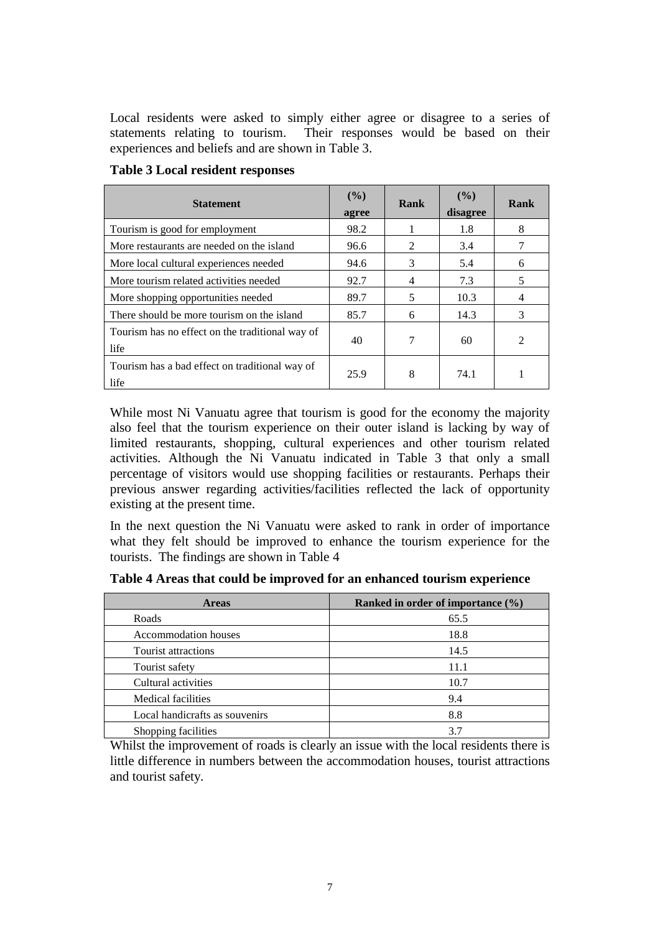Local residents were asked to simply either agree or disagree to a series of statements relating to tourism. Their responses would be based on their experiences and beliefs and are shown in Table 3.

| <b>Statement</b>                                        | (%)<br>agree | Rank           | $($ %)<br>disagree | Rank           |
|---------------------------------------------------------|--------------|----------------|--------------------|----------------|
| Tourism is good for employment                          | 98.2         |                | 1.8                | 8              |
| More restaurants are needed on the island               | 96.6         | $\mathfrak{D}$ | 3.4                | 7              |
| More local cultural experiences needed                  | 94.6         | 3              | 5.4                | 6              |
| More tourism related activities needed                  | 92.7         | 4              | 7.3                | 5              |
| More shopping opportunities needed                      | 89.7         | 5              | 10.3               | 4              |
| There should be more tourism on the island              | 85.7         | 6              | 14.3               | 3              |
| Tourism has no effect on the traditional way of<br>life | 40           | 7              | 60                 | $\overline{2}$ |
| Tourism has a bad effect on traditional way of<br>life  | 25.9         | 8              | 74.1               |                |

**Table 3 Local resident responses**

While most Ni Vanuatu agree that tourism is good for the economy the majority also feel that the tourism experience on their outer island is lacking by way of limited restaurants, shopping, cultural experiences and other tourism related activities. Although the Ni Vanuatu indicated in Table 3 that only a small percentage of visitors would use shopping facilities or restaurants. Perhaps their previous answer regarding activities/facilities reflected the lack of opportunity existing at the present time.

In the next question the Ni Vanuatu were asked to rank in order of importance what they felt should be improved to enhance the tourism experience for the tourists. The findings are shown in Table 4

|  |  | Table 4 Areas that could be improved for an enhanced tourism experience |  |
|--|--|-------------------------------------------------------------------------|--|
|  |  |                                                                         |  |

| <b>Areas</b>                   | Ranked in order of importance $(\% )$ |
|--------------------------------|---------------------------------------|
| Roads                          | 65.5                                  |
| Accommodation houses           | 18.8                                  |
| Tourist attractions            | 14.5                                  |
| Tourist safety                 | 11.1                                  |
| Cultural activities            | 10.7                                  |
| Medical facilities             | 9.4                                   |
| Local handicrafts as souvenirs | 8.8                                   |
| Shopping facilities            | 3.1                                   |

Whilst the improvement of roads is clearly an issue with the local residents there is little difference in numbers between the accommodation houses, tourist attractions and tourist safety.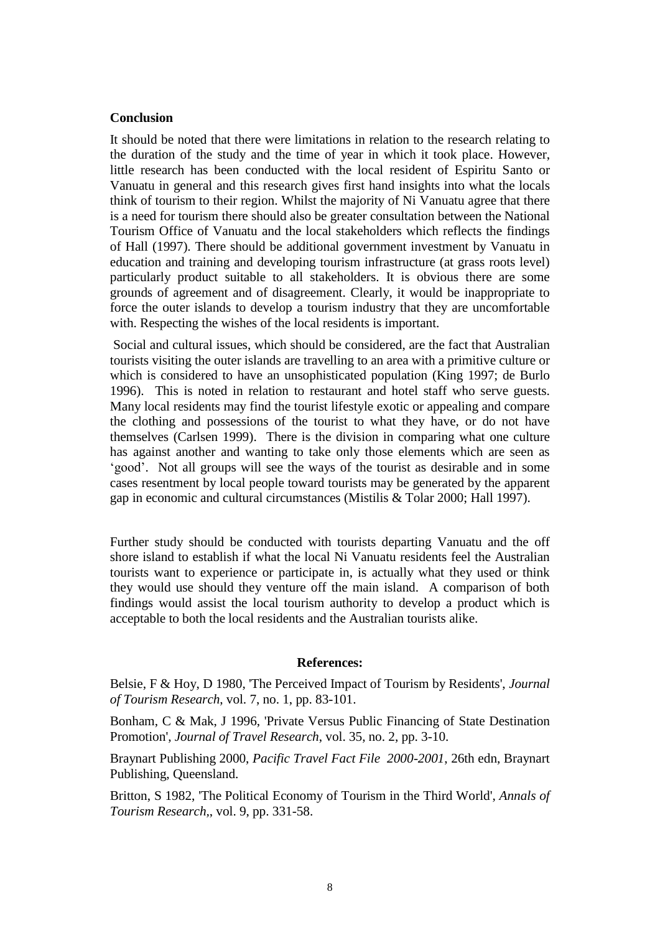### **Conclusion**

It should be noted that there were limitations in relation to the research relating to the duration of the study and the time of year in which it took place. However, little research has been conducted with the local resident of Espiritu Santo or Vanuatu in general and this research gives first hand insights into what the locals think of tourism to their region. Whilst the majority of Ni Vanuatu agree that there is a need for tourism there should also be greater consultation between the National Tourism Office of Vanuatu and the local stakeholders which reflects the findings of Hall (1997). There should be additional government investment by Vanuatu in education and training and developing tourism infrastructure (at grass roots level) particularly product suitable to all stakeholders. It is obvious there are some grounds of agreement and of disagreement. Clearly, it would be inappropriate to force the outer islands to develop a tourism industry that they are uncomfortable with. Respecting the wishes of the local residents is important.

Social and cultural issues, which should be considered, are the fact that Australian tourists visiting the outer islands are travelling to an area with a primitive culture or which is considered to have an unsophisticated population (King 1997; de Burlo 1996). This is noted in relation to restaurant and hotel staff who serve guests. Many local residents may find the tourist lifestyle exotic or appealing and compare the clothing and possessions of the tourist to what they have, or do not have themselves (Carlsen 1999). There is the division in comparing what one culture has against another and wanting to take only those elements which are seen as "good". Not all groups will see the ways of the tourist as desirable and in some cases resentment by local people toward tourists may be generated by the apparent gap in economic and cultural circumstances (Mistilis & Tolar 2000; Hall 1997).

Further study should be conducted with tourists departing Vanuatu and the off shore island to establish if what the local Ni Vanuatu residents feel the Australian tourists want to experience or participate in, is actually what they used or think they would use should they venture off the main island. A comparison of both findings would assist the local tourism authority to develop a product which is acceptable to both the local residents and the Australian tourists alike.

### **References:**

Belsie, F & Hoy, D 1980, 'The Perceived Impact of Tourism by Residents', *Journal of Tourism Research*, vol. 7, no. 1, pp. 83-101.

Bonham, C & Mak, J 1996, 'Private Versus Public Financing of State Destination Promotion', *Journal of Travel Research*, vol. 35, no. 2, pp. 3-10.

Braynart Publishing 2000, *Pacific Travel Fact File 2000-2001*, 26th edn, Braynart Publishing, Queensland.

Britton, S 1982, 'The Political Economy of Tourism in the Third World', *Annals of Tourism Research,*, vol. 9, pp. 331-58.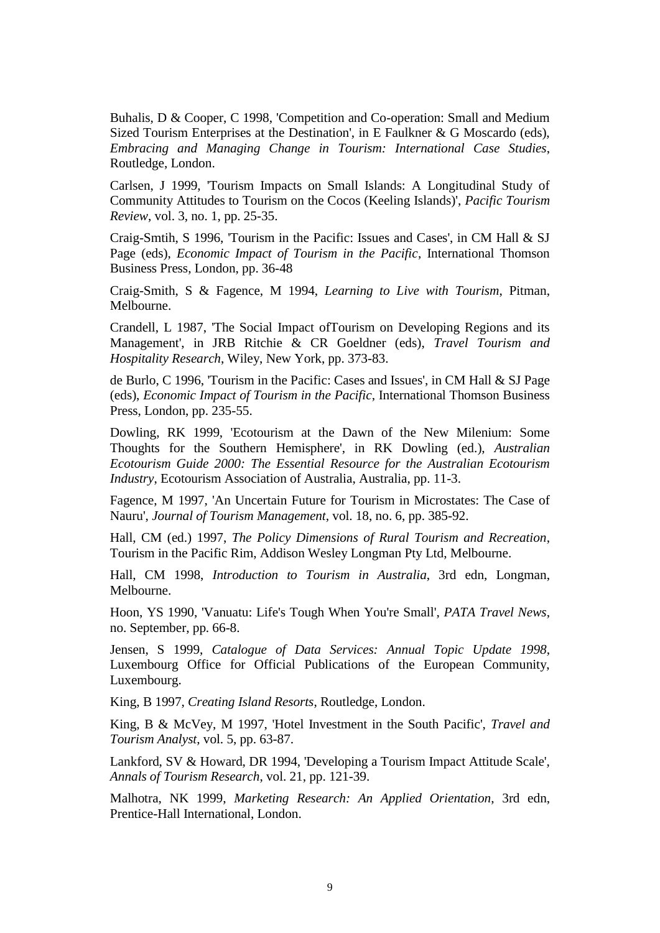Buhalis, D & Cooper, C 1998, 'Competition and Co-operation: Small and Medium Sized Tourism Enterprises at the Destination', in E Faulkner & G Moscardo (eds), *Embracing and Managing Change in Tourism: International Case Studies*, Routledge, London.

Carlsen, J 1999, 'Tourism Impacts on Small Islands: A Longitudinal Study of Community Attitudes to Tourism on the Cocos (Keeling Islands)', *Pacific Tourism Review*, vol. 3, no. 1, pp. 25-35.

Craig-Smtih, S 1996, 'Tourism in the Pacific: Issues and Cases', in CM Hall & SJ Page (eds), *Economic Impact of Tourism in the Pacific*, International Thomson Business Press, London, pp. 36-48

Craig-Smith, S & Fagence, M 1994, *Learning to Live with Tourism*, Pitman, Melbourne.

Crandell, L 1987, 'The Social Impact ofTourism on Developing Regions and its Management', in JRB Ritchie & CR Goeldner (eds), *Travel Tourism and Hospitality Research*, Wiley, New York, pp. 373-83.

de Burlo, C 1996, 'Tourism in the Pacific: Cases and Issues', in CM Hall & SJ Page (eds), *Economic Impact of Tourism in the Pacific*, International Thomson Business Press, London, pp. 235-55.

Dowling, RK 1999, 'Ecotourism at the Dawn of the New Milenium: Some Thoughts for the Southern Hemisphere', in RK Dowling (ed.), *Australian Ecotourism Guide 2000: The Essential Resource for the Australian Ecotourism Industry*, Ecotourism Association of Australia, Australia, pp. 11-3.

Fagence, M 1997, 'An Uncertain Future for Tourism in Microstates: The Case of Nauru', *Journal of Tourism Management*, vol. 18, no. 6, pp. 385-92.

Hall, CM (ed.) 1997, *The Policy Dimensions of Rural Tourism and Recreation*, Tourism in the Pacific Rim, Addison Wesley Longman Pty Ltd, Melbourne.

Hall, CM 1998, *Introduction to Tourism in Australia*, 3rd edn, Longman, Melbourne.

Hoon, YS 1990, 'Vanuatu: Life's Tough When You're Small', *PATA Travel News*, no. September, pp. 66-8.

Jensen, S 1999, *Catalogue of Data Services: Annual Topic Update 1998*, Luxembourg Office for Official Publications of the European Community, Luxembourg.

King, B 1997, *Creating Island Resorts*, Routledge, London.

King, B & McVey, M 1997, 'Hotel Investment in the South Pacific', *Travel and Tourism Analyst*, vol. 5, pp. 63-87.

Lankford, SV & Howard, DR 1994, 'Developing a Tourism Impact Attitude Scale', *Annals of Tourism Research*, vol. 21, pp. 121-39.

Malhotra, NK 1999, *Marketing Research: An Applied Orientation*, 3rd edn, Prentice-Hall International, London.